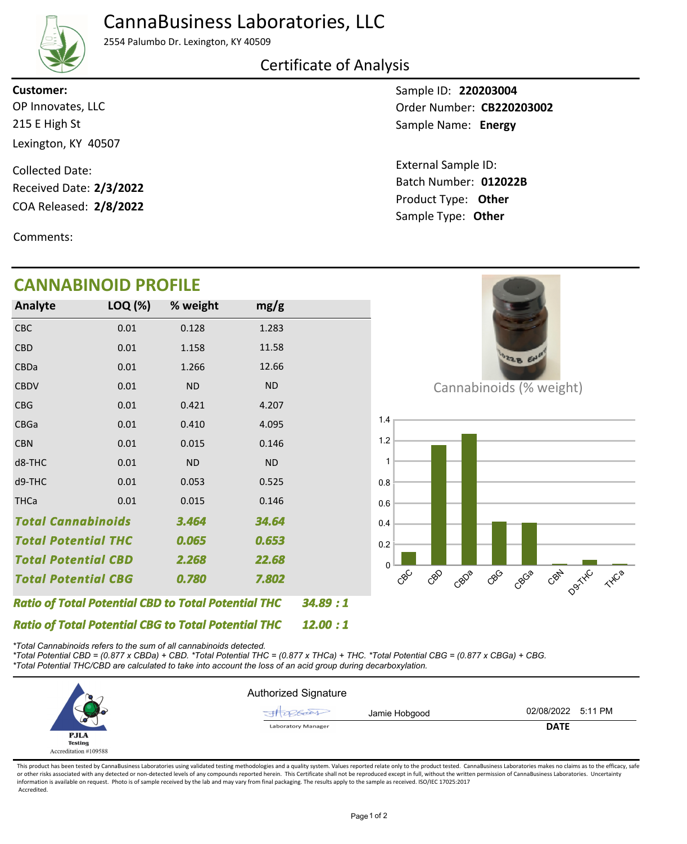## CannaBusiness Laboratories, LLC



2554 Palumbo Dr. Lexington, KY 40509

#### Certificate of Analysis

215 E High St Lexington, KY 40507 OP Innovates, LLC **Customer:**

COA Released: 2/8/2022 Collected Date: Received Date: **2/3/2022**

Comments:

# **CANNABINOID PROFILE**

Sample ID: **220203004** Sample Name: Energy Order Number: CB220203002

Product Type: **Other 2/8/2022 012022B** Batch Number: External Sample ID: Sample Type: **Other**

|                                                            | ANNADINOID FROFILL |           |           |           |                  |
|------------------------------------------------------------|--------------------|-----------|-----------|-----------|------------------|
| Analyte                                                    | LOQ (%)            | % weight  | mg/g      |           |                  |
| <b>CBC</b>                                                 | 0.01               | 0.128     | 1.283     |           |                  |
| <b>CBD</b>                                                 | 0.01               | 1.158     | 11.58     |           |                  |
| <b>CBDa</b>                                                | 0.01               | 1.266     | 12.66     |           |                  |
| <b>CBDV</b>                                                | 0.01               | <b>ND</b> | <b>ND</b> |           |                  |
| <b>CBG</b>                                                 | 0.01               | 0.421     | 4.207     |           |                  |
| <b>CBGa</b>                                                | 0.01               | 0.410     | 4.095     |           | 1.4 <sub>1</sub> |
| <b>CBN</b>                                                 | 0.01               | 0.015     | 0.146     |           | 1.2              |
| d8-THC                                                     | 0.01               | <b>ND</b> | <b>ND</b> |           | $\mathbf{1}$     |
| d9-THC                                                     | 0.01               | 0.053     | 0.525     |           | 0.8              |
| <b>THCa</b>                                                | 0.01               | 0.015     | 0.146     |           | 0.6              |
| <b>Total Cannabinoids</b>                                  |                    | 3.464     | 34.64     |           | 0.4              |
| <b>Total Potential THC</b>                                 |                    | 0.065     | 0.653     |           | 0.2              |
| <b>Total Potential CBD</b>                                 |                    | 2.268     | 22.68     |           | 0 L              |
| <b>Total Potential CBG</b>                                 |                    | 0.780     | 7.802     |           |                  |
| <b>Ratio of Total Potential CBD to Total Potential THC</b> |                    |           |           | 34.89 : 1 |                  |
| <b>Ratio of Total Potential CBG to Total Potential THC</b> |                    |           |           | 12.00:1   |                  |



Cannabinoids (% weight)



*\*Total Cannabinoids refers to the sum of all cannabinoids detected.*

*\*Total Potential CBD = (0.877 x CBDa) + CBD. \*Total Potential THC = (0.877 x THCa) + THC. \*Total Potential CBG = (0.877 x CBGa) + CBG. \*Total Potential THC/CBD are calculated to take into account the loss of an acid group during decarboxylation.*



This product has been tested by CannaBusiness Laboratories using validated testing methodologies and a quality system. Values reported relate only to the product tested. CannaBusiness Laboratories makes no claims as to the or other risks associated with any detected or non-detected levels of any compounds reported herein. This Certificate shall not be reproduced except in full, without the written permission of CannaBusiness Laboratories. Un information is available on request. Photo is of sample received by the lab and may vary from final packaging. The results apply to the sample as received. ISO/IEC 17025:2017 Accredited.